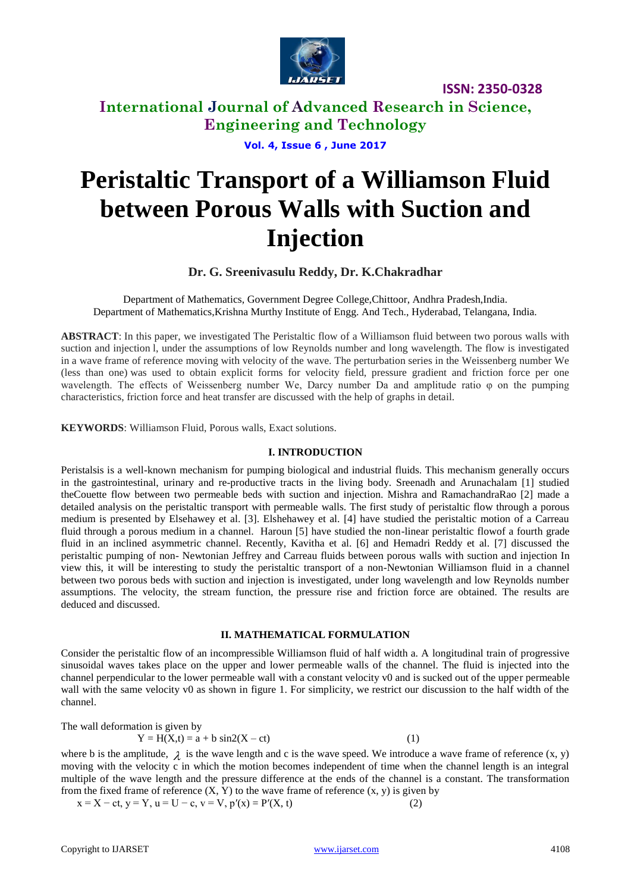

**International Journal of Advanced Research in Science, Engineering and Technology**

**Vol. 4, Issue 6 , June 2017**

# **Peristaltic Transport of a Williamson Fluid between Porous Walls with Suction and Injection**

**Dr. G. Sreenivasulu Reddy, Dr. K.Chakradhar**

Department of Mathematics, Government Degree College,Chittoor, Andhra Pradesh,India. Department of Mathematics,Krishna Murthy Institute of Engg. And Tech., Hyderabad, Telangana, India.

**ABSTRACT**: In this paper, we investigated The Peristaltic flow of a Williamson fluid between two porous walls with suction and injection l, under the assumptions of low Reynolds number and long wavelength. The flow is investigated in a wave frame of reference moving with velocity of the wave. The perturbation series in the Weissenberg number We (less than one) was used to obtain explicit forms for velocity field, pressure gradient and friction force per one wavelength. The effects of Weissenberg number We, Darcy number Da and amplitude ratio φ on the pumping characteristics, friction force and heat transfer are discussed with the help of graphs in detail.

**KEYWORDS**: Williamson Fluid, Porous walls, Exact solutions.

#### **I. INTRODUCTION**

Peristalsis is a well-known mechanism for pumping biological and industrial fluids. This mechanism generally occurs in the gastrointestinal, urinary and re-productive tracts in the living body. Sreenadh and Arunachalam [1] studied theCouette flow between two permeable beds with suction and injection. Mishra and RamachandraRao [2] made a detailed analysis on the peristaltic transport with permeable walls. The first study of peristaltic flow through a porous medium is presented by Elsehawey et al. [3]. Elshehawey et al. [4] have studied the peristaltic motion of a Carreau fluid through a porous medium in a channel. Haroun [5] have studied the non-linear peristaltic flowof a fourth grade fluid in an inclined asymmetric channel. Recently, Kavitha et al. [6] and Hemadri Reddy et al. [7] discussed the peristaltic pumping of non- Newtonian Jeffrey and Carreau fluids between porous walls with suction and injection In view this, it will be interesting to study the peristaltic transport of a non-Newtonian Williamson fluid in a channel between two porous beds with suction and injection is investigated, under long wavelength and low Reynolds number assumptions. The velocity, the stream function, the pressure rise and friction force are obtained. The results are deduced and discussed.

#### **II. MATHEMATICAL FORMULATION**

Consider the peristaltic flow of an incompressible Williamson fluid of half width a. A longitudinal train of progressive sinusoidal waves takes place on the upper and lower permeable walls of the channel. The fluid is injected into the channel perpendicular to the lower permeable wall with a constant velocity v0 and is sucked out of the upper permeable wall with the same velocity v0 as shown in figure 1. For simplicity, we restrict our discussion to the half width of the channel.

The wall deformation is given by  $Y = H(X,t) = a + b \sin(2(X - ct))$  (1)

where b is the amplitude,  $\lambda$  is the wave length and c is the wave speed. We introduce a wave frame of reference  $(x, y)$ moving with the velocity c in which the motion becomes independent of time when the channel length is an integral multiple of the wave length and the pressure difference at the ends of the channel is a constant. The transformation from the fixed frame of reference  $(X, Y)$  to the wave frame of reference  $(x, y)$  is given by

 $x = X - ct, y = Y, u = U - c, v = V, p'(x) = P'(X, t)$  (2)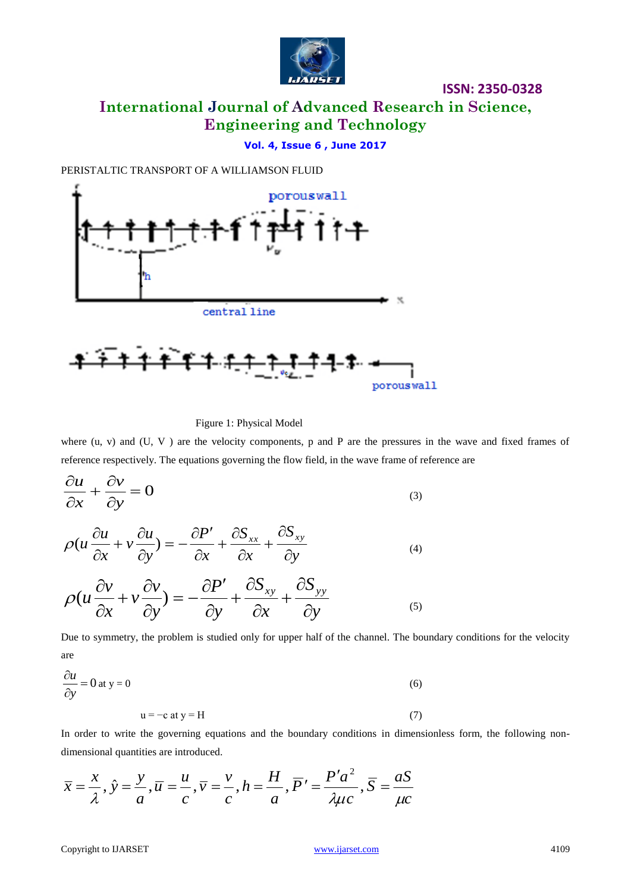

**International Journal of Advanced Research in Science, Engineering and Technology**

## **Vol. 4, Issue 6 , June 2017**

PERISTALTIC TRANSPORT OF A WILLIAMSON FLUID



Figure 1: Physical Model

where (u, v) and (U, V) are the velocity components, p and P are the pressures in the wave and fixed frames of reference respectively. The equations governing the flow field, in the wave frame of reference are

$$
\frac{\partial u}{\partial x} + \frac{\partial v}{\partial y} = 0
$$
\n(3)

$$
\rho(u\frac{\partial u}{\partial x} + v\frac{\partial u}{\partial y}) = -\frac{\partial P'}{\partial x} + \frac{\partial S_{xx}}{\partial x} + \frac{\partial S_{xy}}{\partial y}
$$
(4)

$$
\rho(u\frac{\partial v}{\partial x} + v\frac{\partial v}{\partial y}) = -\frac{\partial P'}{\partial y} + \frac{\partial S_{xy}}{\partial x} + \frac{\partial S_{yy}}{\partial y}
$$
\n(5)

Due to symmetry, the problem is studied only for upper half of the channel. The boundary conditions for the velocity are

$$
\frac{\partial u}{\partial y} = 0 \text{ at } y = 0
$$
\n
$$
u = -c \text{ at } y = H
$$
\n(7)

In order to write the governing equations and the boundary conditions in dimensionless form, the following nondimensional quantities are introduced.

$$
\overline{x} = \frac{x}{\lambda}, \hat{y} = \frac{y}{a}, \overline{u} = \frac{u}{c}, \overline{v} = \frac{v}{c}, h = \frac{H}{a}, \overline{P'} = \frac{P'a^2}{\lambda \mu c}, \overline{S} = \frac{aS}{\mu c}
$$

Copyright to IJARSET and the Control of the Control of the Wave Street.com 4109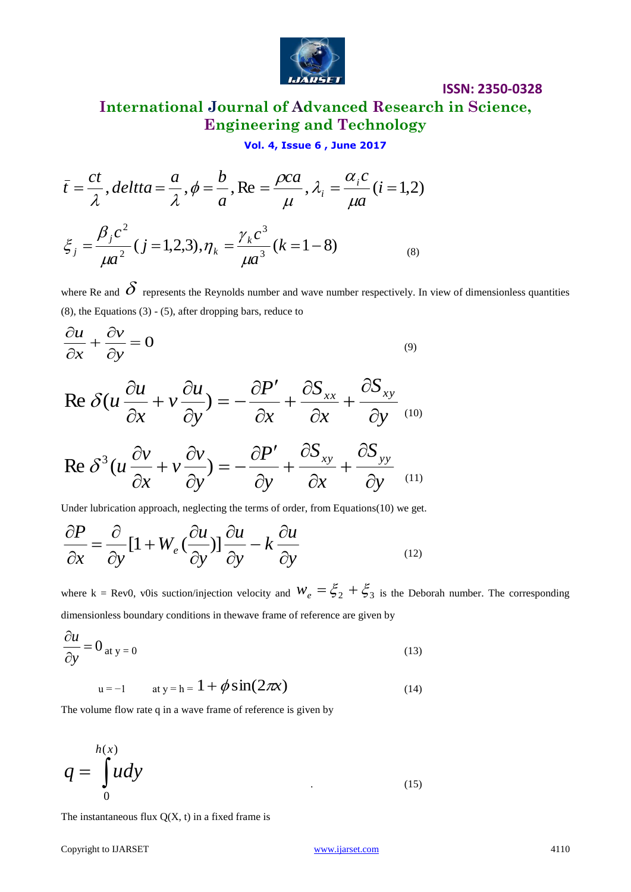

# **International Journal of Advanced Research in Science, Engineering and Technology**

## **Vol. 4, Issue 6 , June 2017**

$$
\bar{t} = \frac{ct}{\lambda}, \text{delta} = \frac{a}{\lambda}, \phi = \frac{b}{a}, \text{Re} = \frac{\rho ca}{\mu}, \lambda_i = \frac{\alpha_i c}{\mu a} (i = 1, 2)
$$
\n
$$
\xi_j = \frac{\beta_j c^2}{\mu a^2} (j = 1, 2, 3), \eta_k = \frac{\gamma_k c^3}{\mu a^3} (k = 1 - 8)
$$
\n(8)

where Re and  $\delta$  represents the Reynolds number and wave number respectively. In view of dimensionless quantities  $(8)$ , the Equations  $(3)$  -  $(5)$ , after dropping bars, reduce to

$$
\frac{\partial u}{\partial x} + \frac{\partial v}{\partial y} = 0
$$
\n(9)

$$
\vec{t} = \frac{c}{\lambda}, delta = \frac{a}{\lambda}, \phi = \frac{b}{a}, \text{Re} = \frac{pca}{\mu}, \lambda_i = \frac{a_i c}{\mu} (i = 1, 2)
$$
\n
$$
\xi_j = \frac{\beta_j c^2}{\mu a^2} (j = 1, 2, 3), \eta_k = \frac{\gamma_k c^3}{\mu a^3} (k = 1 - 8)
$$
\nwhere Re and  $\vec{O}$  represents the Reynolds number and wave number respectively. In view of dimensionless quantities\n(8), the Equations (3) - (5), after dropping bars, reduce to\n(8), the Equations (3) - (5), after dropping bars, reduce to\n(9)  
\n
$$
\frac{\partial u}{\partial x} + \frac{\partial v}{\partial y} = 0
$$
\n(9)  
\n
$$
\text{Re } \delta (u \frac{\partial u}{\partial x} + v \frac{\partial u}{\partial y}) = -\frac{\partial P'}{\partial x} + \frac{\partial S_{xx}}{\partial x} + \frac{\partial S_{xy}}{\partial y}
$$
\n(9)  
\n
$$
\text{Re } \delta^3 (u \frac{\partial v}{\partial x} + v \frac{\partial v}{\partial y}) = -\frac{\partial P'}{\partial y} + \frac{\partial S_{xy}}{\partial x} + \frac{\partial S_{yy}}{\partial y}
$$
\n(11)  
\nUnder hybridian approach, neglecting the terms of order, from Equations(10) we get.\n
$$
\frac{\partial P}{\partial x} = \frac{\partial}{\partial y} [1 + W_e (\frac{\partial u}{\partial y})] \frac{\partial u}{\partial y} - k \frac{\partial u}{\partial y}
$$
\n(12)  
\nwhere  $k = \text{Rev}(0, \text{ v0is stationary conditions in the wave frame of reference are given by\n
$$
\frac{\partial u}{\partial y} = 0_{\text{ at } y = 0}
$$
\n(13)  
\n
$$
u = -1 \text{ at } y = h = 1 + \phi \sin(2\pi x)
$$
\n(14)  
\nThe volume flow rate q in a wave frame of reference is given by\n
$$
q = \int_0^{h(x)} u dy
$$
\n(15)  
\nThe instantaneous flux Q(X, t) in a fixed frame is$ 

Under lubrication approach, neglecting the terms of order, from Equations(10) we get.

$$
\frac{\partial P}{\partial x} = \frac{\partial}{\partial y} [1 + W_e \left(\frac{\partial u}{\partial y}\right)] \frac{\partial u}{\partial y} - k \frac{\partial u}{\partial y}
$$
(12)

where  $k = Rev0$ , v0is suction/injection velocity and  $W_e = \xi_2 + \xi_3$  is the Deborah number. The corresponding dimensionless boundary conditions in thewave frame of reference are given by

$$
\frac{\partial u}{\partial y} = 0_{\text{at } y = 0} \tag{13}
$$

$$
u = -1
$$
 at  $y = h = 1 + \phi \sin(2\pi x)$  (14)

The volume flow rate q in a wave frame of reference is given by

$$
q = \int_{0}^{h(x)} u dy
$$
 (15)

The instantaneous flux  $Q(X, t)$  in a fixed frame is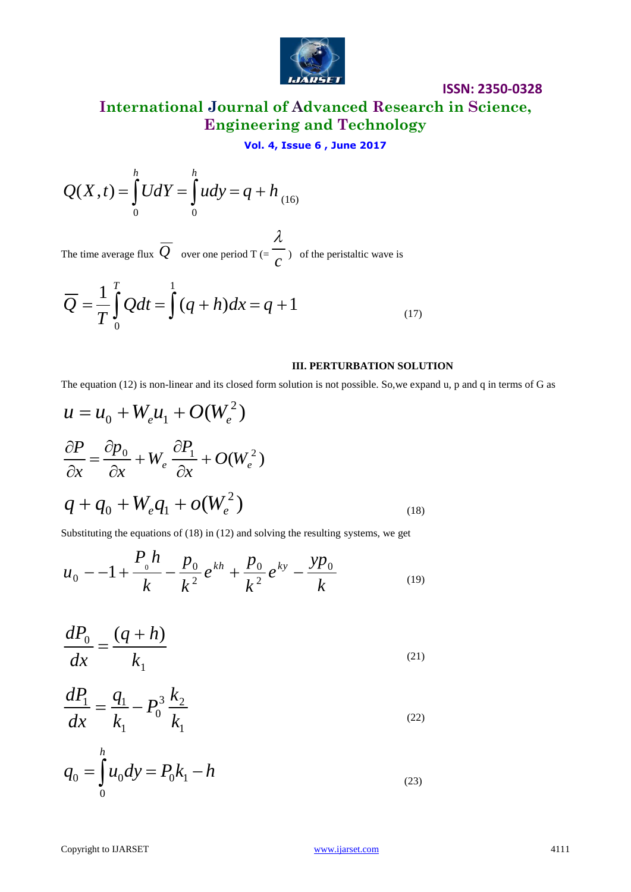

**International Journal of Advanced Research in Science, Engineering and Technology**

## **Vol. 4, Issue 6 , June 2017**

$$
Q(X,t) = \int_{0}^{h} U dY = \int_{0}^{h} u dy = q + h_{(16)}
$$

The time average flux  $Q$  over one period T (= *c*  $\lambda$ ) of the peristaltic wave is

$$
\overline{Q} = \frac{1}{T} \int_{0}^{T} Q dt = \int_{0}^{1} (q+h) dx = q+1
$$
 (17)

#### **III. PERTURBATION SOLUTION**

The equation (12) is non-linear and its closed form solution is not possible. So,we expand u, p and q in terms of G as

$$
Q(X,t) = \int_{0}^{t} UdY = \int_{0}^{t} udy = q + h_{(16)}
$$
  
The time average flux  $\overline{Q}$  over one period T ( $\epsilon$ ) of the perisative wave is  

$$
\overline{Q} = \frac{1}{T} \int_{0}^{T} Qdt = \int_{0}^{1} (q+h)dx = q + 1
$$
 III. PERTURBATION SOLUTION  
The equation (12) is non-linear and its closed form solution is not possible. So, we expand u, p and q in terms of G as  

$$
u = u_{0} + W_{e}u_{1} + O(W_{e}^{2})
$$

$$
\frac{\partial P}{\partial x} = \frac{\partial p_{0}}{\partial x} + W_{e} \frac{\partial P_{1}}{\partial x} + O(W_{e}^{2})
$$

$$
q + q_{0} + W_{e}q_{1} + O(W_{e}^{2})
$$
(18)  
Substituting the equations of (18) in (12) and solving the resulting systems, we get  

$$
u_{0} - -1 + \frac{P_{0}h}{k} - \frac{p_{0}}{k^{2}}e^{kh} + \frac{p_{0}}{k^{2}}e^{ky} - \frac{yp_{0}}{k}
$$
(19)  

$$
\frac{dP_{0}}{dx} = \frac{(q+h)}{k_{1}}
$$
(21)  

$$
\frac{dP_{1}}{dx} = \frac{q_{1}}{k_{1}} - P_{0}^{3} \frac{k_{2}}{k_{1}}
$$
(22)  

$$
q_{0} = \int_{0}^{h} u_{0}dy = P_{0}k_{1} - h
$$
(23)

Substituting the equations of (18) in (12) and solving the resulting systems, we get

*P h*

$$
u_0 = -1 + \frac{P_{0}h}{k} - \frac{p_0}{k^2}e^{kh} + \frac{p_0}{k^2}e^{ky} - \frac{yp_0}{k}
$$
 (19)

$$
\frac{dP_0}{dx} = \frac{(q+h)}{k_1} \tag{21}
$$

$$
\frac{dP_1}{dx} = \frac{q_1}{k_1} - P_0^3 \frac{k_2}{k_1}
$$
\n(22)

$$
q_0 = \int_0^h u_0 dy = P_0 k_1 - h \tag{23}
$$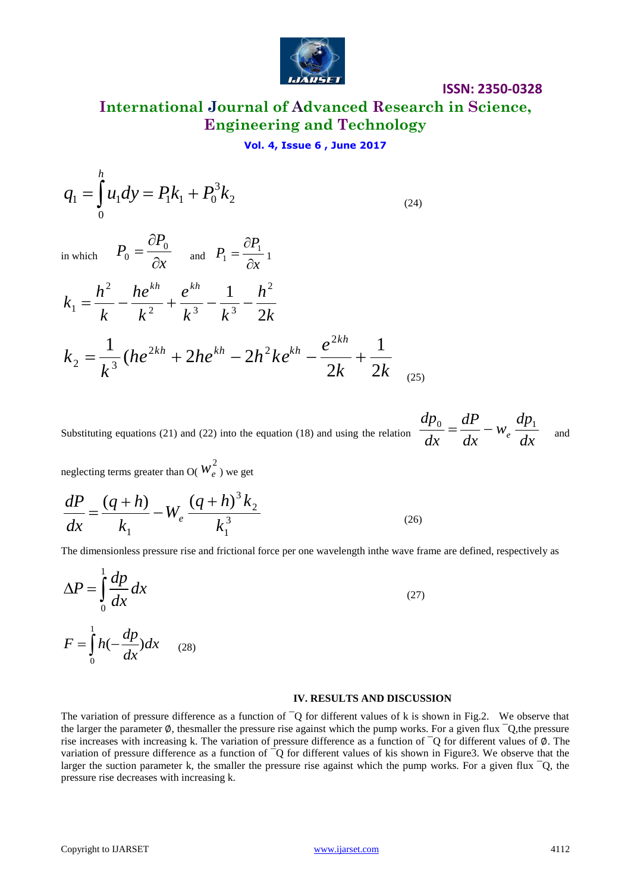

(24)

**International Journal of Advanced Research in Science, Engineering and Technology**

# **Vol. 4, Issue 6 , June 2017**

$$
q_1 = \int_0^h u_1 dy = P_1 k_1 + P_0^3 k_2
$$

in which  $r_0 - \frac{\partial}{\partial x}$ *P P*  $\partial$  $\partial$  $=\frac{01}{10}$  $0 - \overline{\partial x}$  and  $P_1 = \overline{\partial x}$ *P P*  $\partial$  $\partial$  $=\frac{U_1}{2}$  $\frac{1}{1} = \frac{1}{2}$ 

$$
k_1 = \frac{h^2}{k} - \frac{he^{kh}}{k^2} + \frac{e^{kh}}{k^3} - \frac{1}{k^3} - \frac{h^2}{2k}
$$
  

$$
k_2 = \frac{1}{k^3} (he^{2kh} + 2he^{kh} - 2h^2ke^{kh} - \frac{e^{2kh}}{2k} + \frac{1}{2k}
$$
 (25)

Substituting equations (21) and (22) into the equation (18) and using the relation  $\frac{d}{dx} = \frac{d}{dx} - W_e \frac{d}{dx}$ *dp w dx dP dx dp e*  $\frac{0}{I} = \frac{uI}{I} - W_e \frac{uI}{I}$  and

neglecting terms greater than O(  $w_e^2$  ) we get

$$
\frac{dP}{dx} = \frac{(q+h)}{k_1} - W_e \frac{(q+h)^3 k_2}{k_1^3}
$$
\n(26)

The dimensionless pressure rise and frictional force per one wavelength inthe wave frame are defined, respectively as

$$
\Delta P = \int_{0}^{1} \frac{dp}{dx} dx
$$
  
\n
$$
F = \int_{0}^{1} h(-\frac{dp}{dx}) dx
$$
 (27)

#### **IV. RESULTS AND DISCUSSION**

The variation of pressure difference as a function of  $\overline{O}$  for different values of k is shown in Fig.2. We observe that the larger the parameter  $\emptyset$ , thesmaller the pressure rise against which the pump works. For a given flux  $\bigcirc$ , the pressure rise increases with increasing k. The variation of pressure difference as a function of ¯Q for different values of ∅. The variation of pressure difference as a function of  $\neg Q$  for different values of kis shown in Figure3. We observe that the larger the suction parameter k, the smaller the pressure rise against which the pump works. For a given flux  $\overline{Q}$ , the pressure rise decreases with increasing k.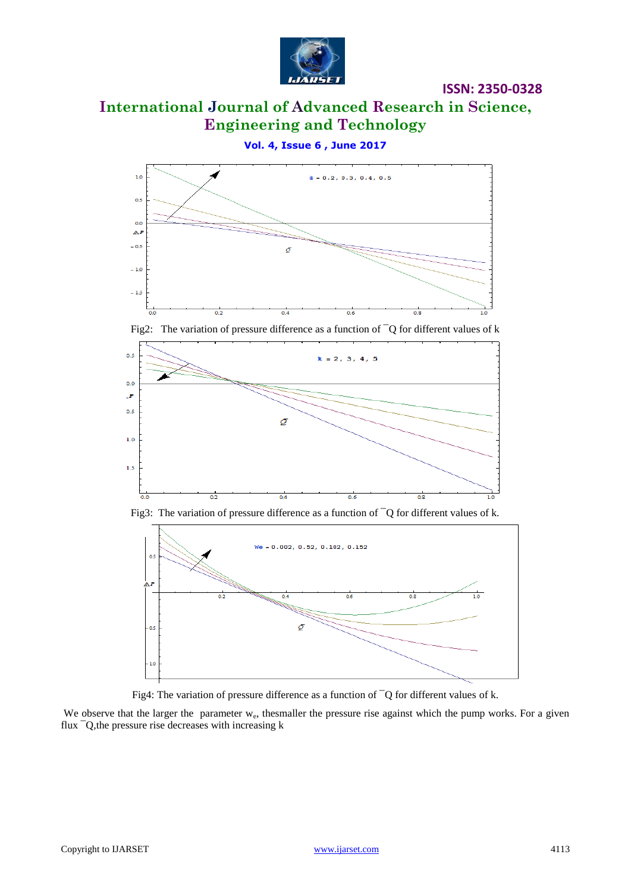

# **International Journal of Advanced Research in Science, Engineering and Technology**

**ISSN: 2350-0328**

**Vol. 4, Issue 6 , June 2017**



Fig2: The variation of pressure difference as a function of ¯Q for different values of k



Fig3: The variation of pressure difference as a function of  $\overline{Q}$  for different values of k.





We observe that the larger the parameter w<sub>e</sub>, thesmaller the pressure rise against which the pump works. For a given flux ¯Q,the pressure rise decreases with increasing k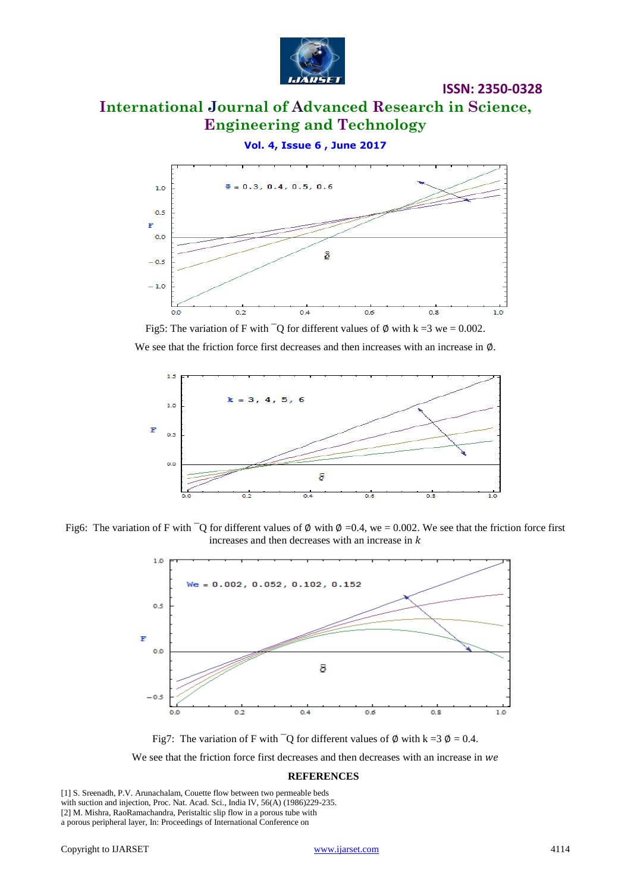

# **International Journal of Advanced Research in Science, Engineering and Technology**

**Vol. 4, Issue 6 , June 2017**



Fig5: The variation of F with  $\overline{Q}$  for different values of  $\emptyset$  with k =3 we = 0.002.

We see that the friction force first decreases and then increases with an increase in ∅.



Fig6: The variation of F with  $\overline{Q}$  for different values of  $\emptyset$  with  $\emptyset = 0.4$ , we  $= 0.002$ . We see that the friction force first increases and then decreases with an increase in  $k$ 



Fig7: The variation of F with  $\overline{Q}$  for different values of  $\emptyset$  with k = 3  $\emptyset$  = 0.4. We see that the friction force first decreases and then decreases with an increase in we

#### **REFERENCES**

[1] S. Sreenadh, P.V. Arunachalam, Couette flow between two permeable beds with suction and injection, Proc. Nat. Acad. Sci., India IV, 56(A) (1986)229-235. [2] M. Mishra, RaoRamachandra, Peristaltic slip flow in a porous tube with a porous peripheral layer, In: Proceedings of International Conference on